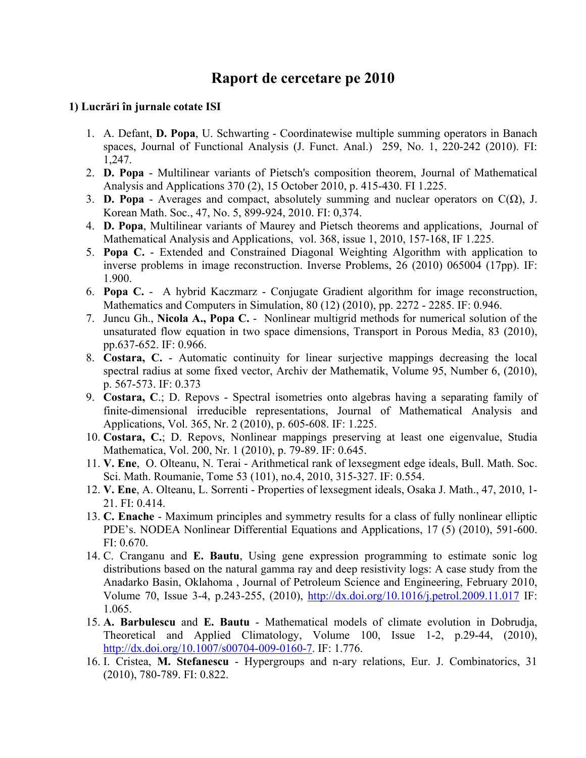# **Raport de cercetare pe 2010**

### **1) Lucrări în jurnale cotate ISI**

- 1. A. Defant, **D. Popa**, U. Schwarting Coordinatewise multiple summing operators in Banach spaces. Journal of Functional Analysis (J. Funct. Anal.) 259, No. 1, 220-242 (2010). FI: 1,247.
- 2. **D. Popa** Multilinear variants of Pietsch's composition theorem, Journal of Mathematical Analysis and Applications 370 (2), 15 October 2010, p. 415-430. FI 1.225.
- 3. **D. Popa** Averages and compact, absolutely summing and nuclear operators on  $C(\Omega)$ , J. Korean Math. Soc., 47, No. 5, 899-924, 2010. FI: 0,374.
- 4. **D. Popa**, Multilinear variants of Maurey and Pietsch theorems and applications, Journal of Mathematical Analysis and Applications, vol. 368, issue 1, 2010, 157-168, IF 1.225.
- 5. **Popa C.** Extended and Constrained Diagonal Weighting Algorithm with application to inverse problems in image reconstruction. Inverse Problems, 26 (2010) 065004 (17pp). IF: 1.900.
- 6. **Popa C.** A hybrid Kaczmarz Conjugate Gradient algorithm for image reconstruction, Mathematics and Computers in Simulation, 80 (12) (2010), pp. 2272 - 2285. IF: 0.946.
- 7. Juncu Gh., **Nicola A., Popa C.** Nonlinear multigrid methods for numerical solution of the unsaturated flow equation in two space dimensions, Transport in Porous Media, 83 (2010), pp.637-652. IF: 0.966.
- 8. **Costara, C.** Automatic continuity for linear surjective mappings decreasing the local spectral radius at some fixed vector, Archiv der Mathematik, Volume 95, Number 6, (2010), p. 567-573. IF: 0.373
- 9. **Costara, C**.; D. Repovs Spectral isometries onto algebras having a separating family of finite-dimensional irreducible representations, Journal of Mathematical Analysis and Applications, Vol. 365, Nr. 2 (2010), p. 605-608. IF: 1.225.
- 10. **Costara, C.**; D. Repovs, Nonlinear mappings preserving at least one eigenvalue, Studia Mathematica, Vol. 200, Nr. 1 (2010), p. 79-89. IF: 0.645.
- 11. **V. Ene**, O. Olteanu, N. Terai Arithmetical rank of lexsegment edge ideals, Bull. Math. Soc. Sci. Math. Roumanie, Tome 53 (101), no.4, 2010, 315-327. IF: 0.554.
- 12. **V. Ene**, A. Olteanu, L. Sorrenti Properties of lexsegment ideals, Osaka J. Math., 47, 2010, 1- 21. FI: 0.414.
- 13. **C. Enache** Maximum principles and symmetry results for a class of fully nonlinear elliptic PDE's. NODEA Nonlinear Differential Equations and Applications, 17 (5) (2010), 591-600. FI: 0.670.
- 14. C. Cranganu and **E. Bautu**, Using gene expression programming to estimate sonic log distributions based on the natural gamma ray and deep resistivity logs: A case study from the Anadarko Basin, Oklahoma , Journal of Petroleum Science and Engineering, February 2010, Volume 70, Issue 3-4, p.243-255, (2010), [http://dx.doi.org/10.1016/j.petrol.2009.11.017](http://mail.univ-ovidius.ro/owa/redir.aspx?C=2bfb320c20ef4a2d90fa53eb6fa7de51&URL=http%3a%2f%2fdx.doi.org%2f10.1016%2fj.petrol.2009.11.017) IF: 1.065.
- 15. **A. Barbulescu** and **E. Bautu** Mathematical models of climate evolution in Dobrudja, Theoretical and Applied Climatology, Volume 100, Issue 1-2, p.29-44, (2010), <http://dx.doi.org/10.1007/s00704-009-0160-7>. IF: 1.776.
- 16. I. Cristea, **M. Stefanescu** Hypergroups and n-ary relations, Eur. J. Combinatorics, 31 (2010), 780-789. FI: 0.822.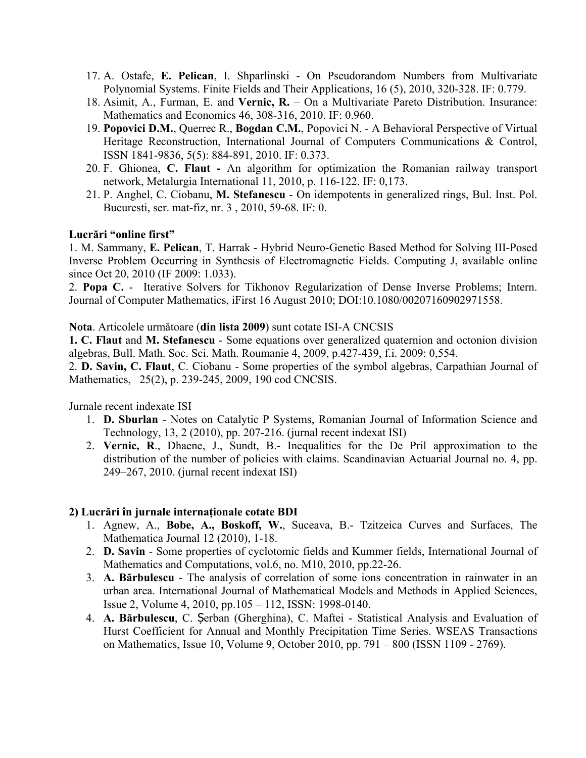- 17. A. Ostafe, **E. Pelican**, I. Shparlinski On Pseudorandom Numbers from Multivariate Polynomial Systems. Finite Fields and Their Applications, 16 (5), 2010, 320-328. IF: 0.779.
- 18. Asimit, A., Furman, E. and **Vernic, R.** On a Multivariate Pareto Distribution. Insurance: Mathematics and Economics 46, 308-316, 2010. IF: 0.960.
- 19. **Popovici D.M.**, Querrec R., **Bogdan C.M.**, Popovici N. A Behavioral Perspective of Virtual Heritage Reconstruction, International Journal of Computers Communications & Control, ISSN 1841-9836, 5(5): 884-891, 2010. IF: 0.373.
- 20. F. Ghionea, **C. Flaut -** An algorithm for optimization the Romanian railway transport network, Metalurgia International 11, 2010, p. 116-122. IF: 0,173.
- 21. P. Anghel, C. Ciobanu, **M. Stefanescu** On idempotents in generalized rings, Bul. Inst. Pol. Bucuresti, ser. mat-fiz, nr. 3 , 2010, 59-68. IF: 0.

### **Lucrări "online first"**

1. M. Sammany, **E. Pelican**, T. Harrak - Hybrid Neuro-Genetic Based Method for Solving III-Posed Inverse Problem Occurring in Synthesis of Electromagnetic Fields. Computing J, available online since Oct 20, 2010 (IF 2009: 1.033).

2. **Popa C.** - Iterative Solvers for Tikhonov Regularization of Dense Inverse Problems; Intern. Journal of Computer Mathematics, iFirst 16 August 2010; DOI:10.1080/00207160902971558.

#### **Nota**. Articolele următoare (**din lista 2009**) sunt cotate ISI-A CNCSIS

**1. C. Flaut** and **M. Stefanescu** - Some equations over generalized quaternion and octonion division algebras, Bull. Math. Soc. Sci. Math. Roumanie 4, 2009, p.427-439, f.i. 2009: 0,554.

2. **D. Savin, C. Flaut**, C. Ciobanu - Some properties of the symbol algebras, Carpathian Journal of Mathematics, 25(2), p. 239-245, 2009, 190 cod CNCSIS.

Jurnale recent indexate ISI

- 1. **D. Sburlan** Notes on Catalytic P Systems, Romanian Journal of Information Science and Technology, 13, 2 (2010), pp. 207-216. (jurnal recent indexat ISI)
- 2. **Vernic, R**., Dhaene, J., Sundt, B.- Inequalities for the De Pril approximation to the distribution of the number of policies with claims. Scandinavian Actuarial Journal no. 4, pp. 249–267, 2010. (jurnal recent indexat ISI)

### **2) Lucrări în jurnale internaţionale cotate BDI**

- 1. Agnew, A., **Bobe, A., Boskoff, W.**, Suceava, B.- Tzitzeica Curves and Surfaces, The Mathematica Journal 12 (2010), 1-18.
- 2. **D. Savin** Some properties of cyclotomic fields and Kummer fields, International Journal of Mathematics and Computations, vol.6, no. M10, 2010, pp.22-26.
- 3. **A. Bărbulescu** The analysis of correlation of some ions concentration in rainwater in an urban area. International Journal of Mathematical Models and Methods in Applied Sciences, Issue 2, Volume 4, 2010, pp.105 – 112, ISSN: 1998-0140.
- 4. **A. Bărbulescu**, C. Șerban (Gherghina), C. Maftei Statistical Analysis and Evaluation of Hurst Coefficient for Annual and Monthly Precipitation Time Series. WSEAS Transactions on Mathematics, Issue 10, Volume 9, October 2010, pp. 791 – 800 (ISSN 1109 - 2769).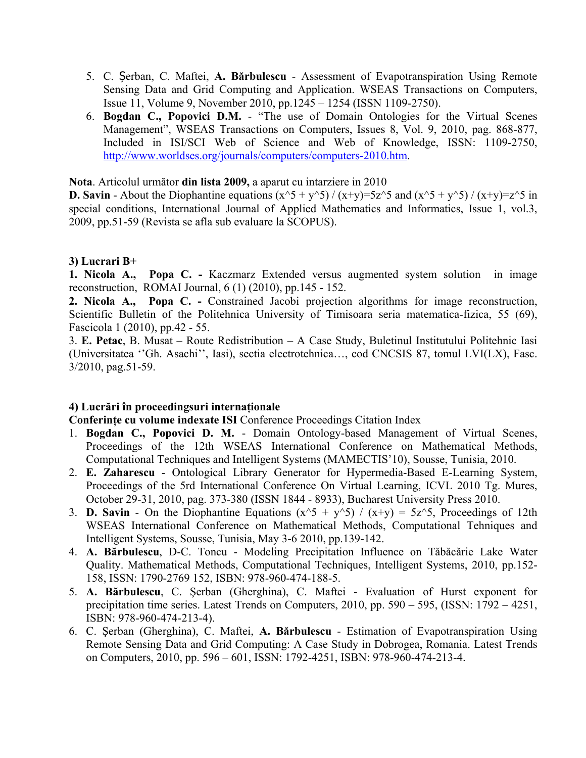- 5. C. Șerban, C. Maftei, **A. Bărbulescu** Assessment of Evapotranspiration Using Remote Sensing Data and Grid Computing and Application. WSEAS Transactions on Computers, Issue 11, Volume 9, November 2010, pp.1245 – 1254 (ISSN 1109-2750).
- 6. **Bogdan C., Popovici D.M.** "The use of Domain Ontologies for the Virtual Scenes Management", WSEAS Transactions on Computers, Issues 8, Vol. 9, 2010, pag. 868-877, Included in ISI/SCI Web of Science and Web of Knowledge, ISSN: 1109-2750, [http://www.worldses.org/journals/computers/computers-2010.htm.](http://www.worldses.org/journals/computers/computers-2010.htm)

**Nota**. Articolul următor **din lista 2009,** a aparut cu intarziere in 2010

**D. Savin** - About the Diophantine equations  $(x^5 + y^5) / (x+y) = 5z^5$  and  $(x^5 + y^5) / (x+y) = z^5$  in special conditions, International Journal of Applied Mathematics and Informatics, Issue 1, vol.3, 2009, pp.51-59 (Revista se afla sub evaluare la SCOPUS).

## **3) Lucrari B+**

**1. Nicola A., Popa C. -** Kaczmarz Extended versus augmented system solution in image reconstruction, ROMAI Journal, 6 (1) (2010), pp.145 - 152.

**2. Nicola A., Popa C. -** Constrained Jacobi projection algorithms for image reconstruction, Scientific Bulletin of the Politehnica University of Timisoara seria matematica-fizica, 55 (69), Fascicola 1 (2010), pp.42 - 55.

3. **E. Petac**, B. Musat – Route Redistribution – A Case Study, Buletinul Institutului Politehnic Iasi (Universitatea ''Gh. Asachi'', Iasi), sectia electrotehnica…, cod CNCSIS 87, tomul LVI(LX), Fasc. 3/2010, pag.51-59.

### **4) Lucrări în proceedingsuri internaţionale**

**Conferinţe cu volume indexate ISI** Conference Proceedings Citation Index

- 1. **Bogdan C., Popovici D. M.** Domain Ontology-based Management of Virtual Scenes, Proceedings of the 12th WSEAS International Conference on Mathematical Methods, Computational Techniques and Intelligent Systems (MAMECTIS'10), Sousse, Tunisia, 2010.
- 2. **E. Zaharescu** Ontological Library Generator for Hypermedia-Based E-Learning System, Proceedings of the 5rd International Conference On Virtual Learning, ICVL 2010 Tg. Mures, October 29-31, 2010, pag. 373-380 (ISSN 1844 - 8933), Bucharest University Press 2010.
- 3. **D. Savin** On the Diophantine Equations  $(x^5 + y^5) / (x+y) = 5z^5$ , Proceedings of 12th WSEAS International Conference on Mathematical Methods, Computational Tehniques and Intelligent Systems, Sousse, Tunisia, May 3-6 2010, pp.139-142.
- 4. **A. Bărbulescu**, D-C. Toncu Modeling Precipitation Influence on Tǎbǎcǎrie Lake Water Quality. Mathematical Methods, Computational Techniques, Intelligent Systems, 2010, pp.152- 158, ISSN: 1790-2769 152, ISBN: 978-960-474-188-5.
- 5. **A. Bărbulescu**, C. Şerban (Gherghina), C. Maftei Evaluation of Hurst exponent for precipitation time series. Latest Trends on Computers, 2010, pp. 590 – 595, (ISSN: 1792 – 4251, ISBN: 978-960-474-213-4).
- 6. C. Şerban (Gherghina), C. Maftei, **A. Bărbulescu** Estimation of Evapotranspiration Using Remote Sensing Data and Grid Computing: A Case Study in Dobrogea, Romania. Latest Trends on Computers, 2010, pp. 596 – 601, ISSN: 1792-4251, ISBN: 978-960-474-213-4.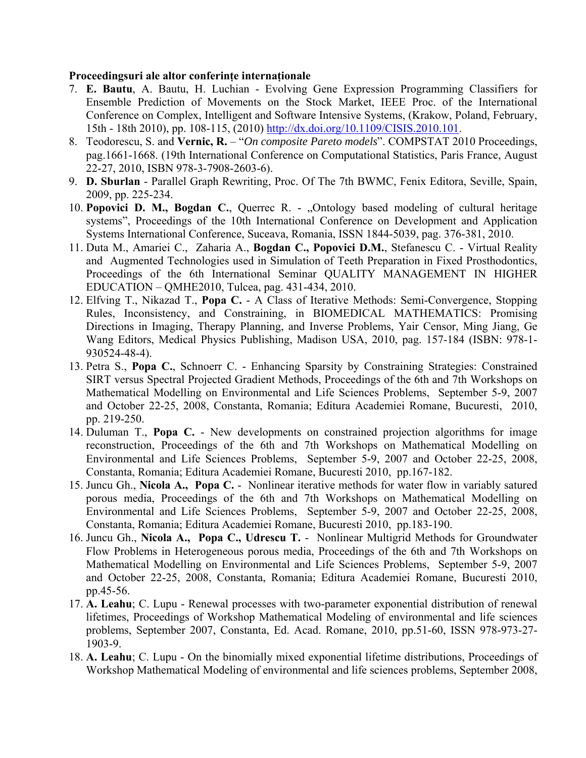### **Proceedingsuri ale altor conferinţe internaţionale**

- 7. **E. Bautu**, A. Bautu, H. Luchian Evolving Gene Expression Programming Classifiers for Ensemble Prediction of Movements on the Stock Market, IEEE Proc. of the International Conference on Complex, Intelligent and Software Intensive Systems, (Krakow, Poland, February, 15th - 18th 2010), pp. 108-115, (2010) [http://dx.doi.org/10.1109/CISIS.2010.101.](http://dx.doi.org/10.1109/CISIS.2010.101)
- 8. Teodorescu, S. and **Vernic, R.** "*On composite Pareto models*". COMPSTAT 2010 Proceedings, pag.1661-1668. (19th International Conference on Computational Statistics, Paris France, August 22-27, 2010, ISBN 978-3-7908-2603-6).
- 9. **D. Sburlan** Parallel Graph Rewriting, Proc. Of The 7th BWMC, Fenix Editora, Seville, Spain, 2009, pp. 225-234.
- 10. **Popovici D. M., Bogdan C.**, Querrec R. "Ontology based modeling of cultural heritage systems", Proceedings of the 10th International Conference on Development and Application Systems International Conference, Suceava, Romania, ISSN 1844-5039, pag. 376-381, 2010.
- 11. Duta M., Amariei C., Zaharia A., **Bogdan C., Popovici D.M.**, Stefanescu C. Virtual Reality and Augmented Technologies used in Simulation of Teeth Preparation in Fixed Prosthodontics, Proceedings of the 6th International Seminar QUALITY MANAGEMENT IN HIGHER EDUCATION – QMHE2010, Tulcea, pag. 431-434, 2010.
- 12. Elfving T., Nikazad T., **Popa C.** A Class of Iterative Methods: Semi-Convergence, Stopping Rules, Inconsistency, and Constraining, in BIOMEDICAL MATHEMATICS: Promising Directions in Imaging, Therapy Planning, and Inverse Problems, Yair Censor, Ming Jiang, Ge Wang Editors, Medical Physics Publishing, Madison USA, 2010, pag. 157-184 (ISBN: 978-1- 930524-48-4).
- 13. Petra S., **Popa C.**, Schnoerr C. Enhancing Sparsity by Constraining Strategies: Constrained SIRT versus Spectral Projected Gradient Methods, Proceedings of the 6th and 7th Workshops on Mathematical Modelling on Environmental and Life Sciences Problems, September 5-9, 2007 and October 22-25, 2008, Constanta, Romania; Editura Academiei Romane, Bucuresti, 2010, pp. 219-250.
- 14. Duluman T., **Popa C.** New developments on constrained projection algorithms for image reconstruction, Proceedings of the 6th and 7th Workshops on Mathematical Modelling on Environmental and Life Sciences Problems, September 5-9, 2007 and October 22-25, 2008, Constanta, Romania; Editura Academiei Romane, Bucuresti 2010, pp.167-182.
- 15. Juncu Gh., **Nicola A., Popa C.** Nonlinear iterative methods for water flow in variably satured porous media, Proceedings of the 6th and 7th Workshops on Mathematical Modelling on Environmental and Life Sciences Problems, September 5-9, 2007 and October 22-25, 2008, Constanta, Romania; Editura Academiei Romane, Bucuresti 2010, pp.183-190.
- 16. Juncu Gh., **Nicola A., Popa C., Udrescu T.** Nonlinear Multigrid Methods for Groundwater Flow Problems in Heterogeneous porous media, Proceedings of the 6th and 7th Workshops on Mathematical Modelling on Environmental and Life Sciences Problems, September 5-9, 2007 and October 22-25, 2008, Constanta, Romania; Editura Academiei Romane, Bucuresti 2010, pp.45-56.
- 17. **A. Leahu**; C. Lupu Renewal processes with two-parameter exponential distribution of renewal lifetimes, Proceedings of Workshop Mathematical Modeling of environmental and life sciences problems, September 2007, Constanta, Ed. Acad. Romane, 2010, pp.51-60, ISSN 978-973-27- 1903-9.
- 18. **A. Leahu**; C. Lupu On the binomially mixed exponential lifetime distributions, Proceedings of Workshop Mathematical Modeling of environmental and life sciences problems, September 2008,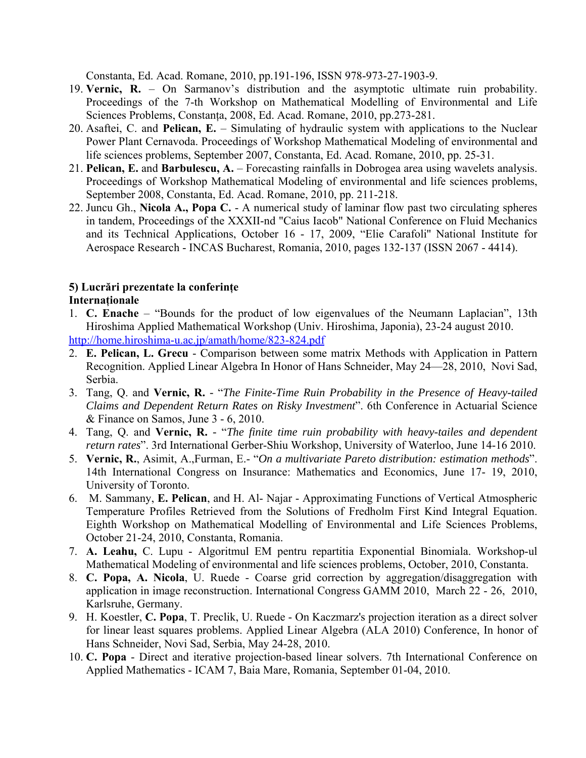Constanta, Ed. Acad. Romane, 2010, pp.191-196, ISSN 978-973-27-1903-9.

- 19. **Vernic, R.** On Sarmanov's distribution and the asymptotic ultimate ruin probability. Proceedings of the 7-th Workshop on Mathematical Modelling of Environmental and Life Sciences Problems, Constanta, 2008, Ed. Acad. Romane, 2010, pp.273-281.
- 20. Asaftei, C. and **Pelican, E.** Simulating of hydraulic system with applications to the Nuclear Power Plant Cernavoda. Proceedings of Workshop Mathematical Modeling of environmental and life sciences problems, September 2007, Constanta, Ed. Acad. Romane, 2010, pp. 25-31.
- 21. **Pelican, E.** and **Barbulescu, A.** Forecasting rainfalls in Dobrogea area using wavelets analysis. Proceedings of Workshop Mathematical Modeling of environmental and life sciences problems, September 2008, Constanta, Ed. Acad. Romane, 2010, pp. 211-218.
- 22. Juncu Gh., **Nicola A., Popa C.** A numerical study of laminar flow past two circulating spheres in tandem, Proceedings of the XXXII-nd "Caius Iacob" National Conference on Fluid Mechanics and its Technical Applications, October 16 - 17, 2009, "Elie Carafoli'' National Institute for Aerospace Research - INCAS Bucharest, Romania, 2010, pages 132-137 (ISSN 2067 - 4414).

# **5) Lucrări prezentate la conferinţe**

# **Internaţionale**

- 1. **C. Enache** "Bounds for the product of low eigenvalues of the Neumann Laplacian", 13th Hiroshima Applied Mathematical Workshop (Univ. Hiroshima, Japonia), 23-24 august 2010. <http://home.hiroshima-u.ac.jp/amath/home/823-824.pdf>
- 2. **E. Pelican, L. Grecu** Comparison between some matrix Methods with Application in Pattern Recognition. Applied Linear Algebra In Honor of Hans Schneider, May 24—28, 2010, Novi Sad, Serbia.
- 3. Tang, Q. and **Vernic, R.** *-* "*The Finite-Time Ruin Probability in the Presence of Heavy-tailed Claims and Dependent Return Rates on Risky Investment*". 6th Conference in Actuarial Science & Finance on Samos, June 3 - 6, 2010.
- 4. Tang, Q. and **Vernic, R.** *-* "*The finite time ruin probability with heavy-tailes and dependent return rates*". 3rd International Gerber-Shiu Workshop, University of Waterloo, June 14-16 2010.
- 5. **Vernic, R.**, Asimit, A.,Furman, E.- "*On a multivariate Pareto distribution: estimation methods*". 14th International Congress on Insurance: Mathematics and Economics, June 17- 19, 2010, University of Toronto.
- 6. M. Sammany, **E. Pelican**, and H. Al- Najar Approximating Functions of Vertical Atmospheric Temperature Profiles Retrieved from the Solutions of Fredholm First Kind Integral Equation. Eighth Workshop on Mathematical Modelling of Environmental and Life Sciences Problems, October 21-24, 2010, Constanta, Romania.
- 7. **A. Leahu,** C. Lupu Algoritmul EM pentru repartitia Exponential Binomiala. Workshop-ul Mathematical Modeling of environmental and life sciences problems, October, 2010, Constanta.
- 8. **C. Popa, A. Nicola**, U. Ruede Coarse grid correction by aggregation/disaggregation with application in image reconstruction. International Congress GAMM 2010, March 22 - 26, 2010, Karlsruhe, Germany.
- 9. H. Koestler, **C. Popa**, T. Preclik, U. Ruede On Kaczmarz's projection iteration as a direct solver for linear least squares problems. Applied Linear Algebra (ALA 2010) Conference, In honor of Hans Schneider, Novi Sad, Serbia, May 24-28, 2010.
- 10. **C. Popa** Direct and iterative projection-based linear solvers. 7th International Conference on Applied Mathematics - ICAM 7, Baia Mare, Romania, September 01-04, 2010.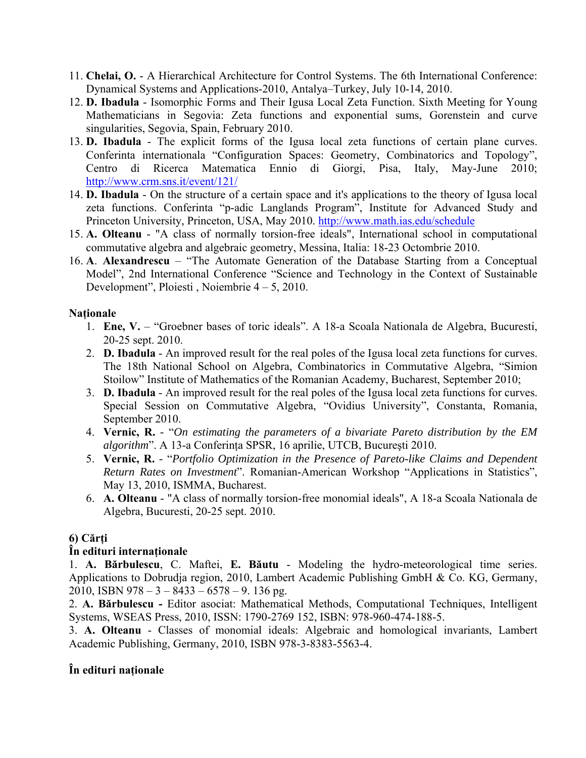- 11. **Chelai, O.** A Hierarchical Architecture for Control Systems. The 6th International Conference: Dynamical Systems and Applications-2010, Antalya–Turkey, July 10-14, 2010.
- 12. **D. Ibadula** Isomorphic Forms and Their Igusa Local Zeta Function. Sixth Meeting for Young Mathematicians in Segovia: Zeta functions and exponential sums, Gorenstein and curve singularities, Segovia, Spain, February 2010.
- 13. **D. Ibadula** The explicit forms of the Igusa local zeta functions of certain plane curves. Conferinta internationala "Configuration Spaces: Geometry, Combinatorics and Topology", Centro di Ricerca Matematica Ennio di Giorgi, Pisa, Italy, May-June 2010; [http://www.crm.sns.it/event/121/](https://mail.univ-ovidius.ro/OWA/redir.aspx?C=672bacb894064c3cbe3521d81795ddfd&URL=http%3a%2f%2fwww.crm.sns.it%2fevent%2f121%2f)
- 14. **D. Ibadula** On the structure of a certain space and it's applications to the theory of Igusa local zeta functions. Conferinta "p-adic Langlands Program", Institute for Advanced Study and Princeton University, Princeton, USA, May 2010. [http://www.math.ias.edu/schedule](https://mail.univ-ovidius.ro/OWA/redir.aspx?C=672bacb894064c3cbe3521d81795ddfd&URL=http%3a%2f%2fwww.math.ias.edu%2fschedule)
- 15. **A. Olteanu** "A class of normally torsion-free ideals", International school in computational commutative algebra and algebraic geometry, Messina, Italia: 18-23 Octombrie 2010.
- 16. **A**. **Alexandrescu** "The Automate Generation of the Database Starting from a Conceptual Model", 2nd International Conference "Science and Technology in the Context of Sustainable Development", Ploiesti , Noiembrie 4 – 5, 2010.

# **Naţionale**

- 1. **Ene, V.** "Groebner bases of toric ideals". A 18-a Scoala Nationala de Algebra, Bucuresti, 20-25 sept. 2010.
- 2. **D. Ibadula** An improved result for the real poles of the Igusa local zeta functions for curves. The 18th National School on Algebra, Combinatorics in Commutative Algebra, "Simion Stoilow" Institute of Mathematics of the Romanian Academy, Bucharest, September 2010;
- 3. **D. Ibadula** An improved result for the real poles of the Igusa local zeta functions for curves. Special Session on Commutative Algebra, "Ovidius University", Constanta, Romania, September 2010.
- 4. **Vernic, R.** *-* "*On estimating the parameters of a bivariate Pareto distribution by the EM algorithm*". A 13-a Conferinţa SPSR, 16 aprilie, UTCB, Bucureşti 2010.
- 5. **Vernic, R.** *-* "*Portfolio Optimization in the Presence of Pareto-like Claims and Dependent Return Rates on Investment*". Romanian-American Workshop "Applications in Statistics", May 13, 2010, ISMMA, Bucharest.
- 6. **A. Olteanu** "A class of normally torsion-free monomial ideals", A 18-a Scoala Nationala de Algebra, Bucuresti, 20-25 sept. 2010.

# **6) Cărţi**

# **În edituri internaţionale**

1. **A. Bărbulescu**, C. Maftei, **E. Băutu** - Modeling the hydro-meteorological time series. Applications to Dobrudja region, 2010, Lambert Academic Publishing GmbH & Co. KG, Germany, 2010, ISBN 978 – 3 – 8433 – 6578 – 9. 136 pg.

2. **A. Bărbulescu -** Editor asociat: Mathematical Methods, Computational Techniques, Intelligent Systems, WSEAS Press, 2010, ISSN: 1790-2769 152, ISBN: 978-960-474-188-5.

3. **A. Olteanu** - Classes of monomial ideals: Algebraic and homological invariants, Lambert Academic Publishing, Germany, 2010, ISBN 978-3-8383-5563-4.

# **În edituri naţionale**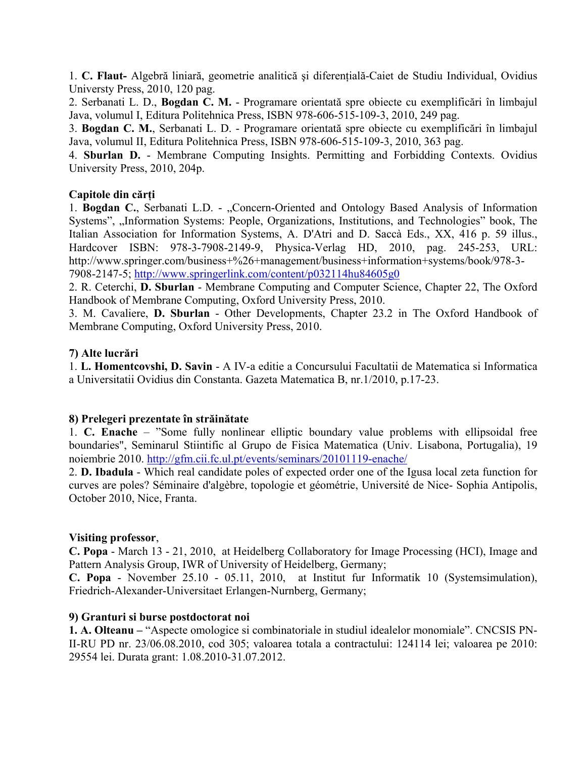1. **C. Flaut-** Algebră liniară, geometrie analitică şi diferenţială-Caiet de Studiu Individual, Ovidius Universty Press, 2010, 120 pag.

2. Serbanati L. D., **Bogdan C. M.** - Programare orientată spre obiecte cu exemplificări în limbajul Java, volumul I, Editura Politehnica Press, ISBN 978-606-515-109-3, 2010, 249 pag.

3. **Bogdan C. M.**, Serbanati L. D. - Programare orientată spre obiecte cu exemplificări în limbajul Java, volumul II, Editura Politehnica Press, ISBN 978-606-515-109-3, 2010, 363 pag.

4. **Sburlan D.** - Membrane Computing Insights. Permitting and Forbidding Contexts. Ovidius University Press, 2010, 204p.

## **Capitole din cărţi**

1. **Bogdan C.**, Serbanati L.D. - "Concern-Oriented and Ontology Based Analysis of Information Systems", "Information Systems: People, Organizations, Institutions, and Technologies" book, The Italian Association for Information Systems, A. D'Atri and D. Saccà Eds., XX, 416 p. 59 illus., Hardcover ISBN: 978-3-7908-2149-9, Physica-Verlag HD, 2010, pag. 245-253, URL: http://www.springer.com/business+%26+management/business+information+systems/book/978-3- 7908-2147-5;<http://www.springerlink.com/content/p032114hu84605g0>

2. R. Ceterchi, **D. Sburlan** - Membrane Computing and Computer Science, Chapter 22, The Oxford Handbook of Membrane Computing, Oxford University Press, 2010.

3. M. Cavaliere, **D. Sburlan** - Other Developments, Chapter 23.2 in The Oxford Handbook of Membrane Computing, Oxford University Press, 2010.

## **7) Alte lucrări**

1. **L. Homentcovshi, D. Savin** - A IV-a editie a Concursului Facultatii de Matematica si Informatica a Universitatii Ovidius din Constanta. Gazeta Matematica B, nr.1/2010, p.17-23.

### **8) Prelegeri prezentate în străinătate**

1. **C. Enache** – "Some fully nonlinear elliptic boundary value problems with ellipsoidal free boundaries", Seminarul Stiintific al Grupo de Fisica Matematica (Univ. Lisabona, Portugalia), 19 noiembrie 2010. <http://gfm.cii.fc.ul.pt/events/seminars/20101119-enache/>

2. **D. Ibadula** - Which real candidate poles of expected order one of the Igusa local zeta function for curves are poles? Séminaire d'algèbre, topologie et géométrie, Université de Nice- Sophia Antipolis, October 2010, Nice, Franta.

### **Visiting professor**,

**C. Popa** - March 13 - 21, 2010, at Heidelberg Collaboratory for Image Processing (HCI), Image and Pattern Analysis Group, IWR of University of Heidelberg, Germany;

**C. Popa** - November 25.10 - 05.11, 2010, at Institut fur Informatik 10 (Systemsimulation), Friedrich-Alexander-Universitaet Erlangen-Nurnberg, Germany;

### **9) Granturi si burse postdoctorat noi**

**1. A. Olteanu –** "Aspecte omologice si combinatoriale in studiul idealelor monomiale". CNCSIS PN-II-RU PD nr. 23/06.08.2010, cod 305; valoarea totala a contractului: 124114 lei; valoarea pe 2010: 29554 lei. Durata grant: 1.08.2010-31.07.2012.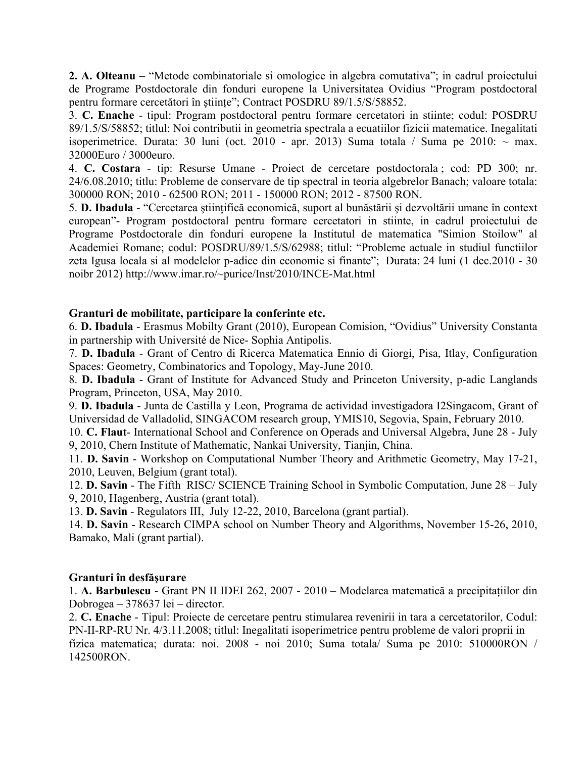**2. A. Olteanu –** "Metode combinatoriale si omologice in algebra comutativa"; in cadrul proiectului de Programe Postdoctorale din fonduri europene la Universitatea Ovidius "Program postdoctoral pentru formare cercetători în ştiinţe"; Contract POSDRU 89/1.5/S/58852.

3. **C. Enache** - tipul: Program postdoctoral pentru formare cercetatori in stiinte; codul: POSDRU 89/1.5/S/58852; titlul: Noi contributii in geometria spectrala a ecuatiilor fizicii matematice. Inegalitati isoperimetrice. Durata: 30 luni (oct. 2010 - apr. 2013) Suma totala / Suma pe 2010:  $\sim$  max. 32000Euro / 3000euro.

4. **C. Costara** - tip: Resurse Umane - Proiect de cercetare postdoctorala ; cod: PD 300; nr. 24/6.08.2010; titlu: Probleme de conservare de tip spectral in teoria algebrelor Banach; valoare totala: 300000 RON; 2010 - 62500 RON; 2011 - 150000 RON; 2012 - 87500 RON.

5. **D. Ibadula** - "Cercetarea ştiinţifică economică, suport al bunăstării şi dezvoltării umane în context european"- Program postdoctoral pentru formare cercetatori in stiinte, in cadrul proiectului de Programe Postdoctorale din fonduri europene la Institutul de matematica "Simion Stoilow" al Academiei Romane; codul: POSDRU/89/1.5/S/62988; titlul: "Probleme actuale in studiul functiilor zeta Igusa locala si al modelelor p-adice din economie si finante"; Durata: 24 luni (1 dec.2010 - 30 noibr 2012) http://www.imar.ro/~purice/Inst/2010/INCE-Mat.html

## **Granturi de mobilitate, participare la conferinte etc.**

6. **D. Ibadula** - Erasmus Mobilty Grant (2010), European Comision, "Ovidius" University Constanta in partnership with Université de Nice- Sophia Antipolis.

7. **D. Ibadula** - Grant of Centro di Ricerca Matematica Ennio di Giorgi, Pisa, Itlay, Configuration Spaces: Geometry, Combinatorics and Topology, May-June 2010.

8. **D. Ibadula** - Grant of Institute for Advanced Study and Princeton University, p-adic Langlands Program, Princeton, USA, May 2010.

9. **D. Ibadula** - Junta de Castilla y Leon, Programa de actividad investigadora I2Singacom, Grant of Universidad de Valladolid, SINGACOM research group, YMIS10, Segovia, Spain, February 2010.

10. **C. Flaut**- International School and Conference on Operads and Universal Algebra, June 28 - July 9, 2010, Chern Institute of Mathematic, Nankai University, Tianjin, China.

11. **D. Savin** - Workshop on Computational Number Theory and Arithmetic Geometry, May 17-21, 2010, Leuven, Belgium (grant total).

12. **D. Savin** - The Fifth RISC/ SCIENCE Training School in Symbolic Computation, June 28 – July 9, 2010, Hagenberg, Austria (grant total).

13. **D. Savin** - Regulators III, July 12-22, 2010, Barcelona (grant partial).

14. **D. Savin** - Research CIMPA school on Number Theory and Algorithms, November 15-26, 2010, Bamako, Mali (grant partial).

### **Granturi în desfăşurare**

1. **A. Barbulescu** - Grant PN II IDEI 262, 2007 - 2010 – Modelarea matematică a precipitaţiilor din Dobrogea – 378637 lei – director.

2. **C. Enache** - Tipul: Proiecte de cercetare pentru stimularea revenirii in tara a cercetatorilor, Codul: PN-II-RP-RU Nr. 4/3.11.2008; titlul: Inegalitati isoperimetrice pentru probleme de valori proprii in fizica matematica; durata: noi. 2008 - noi 2010; Suma totala/ Suma pe 2010: 510000RON / 142500RON.